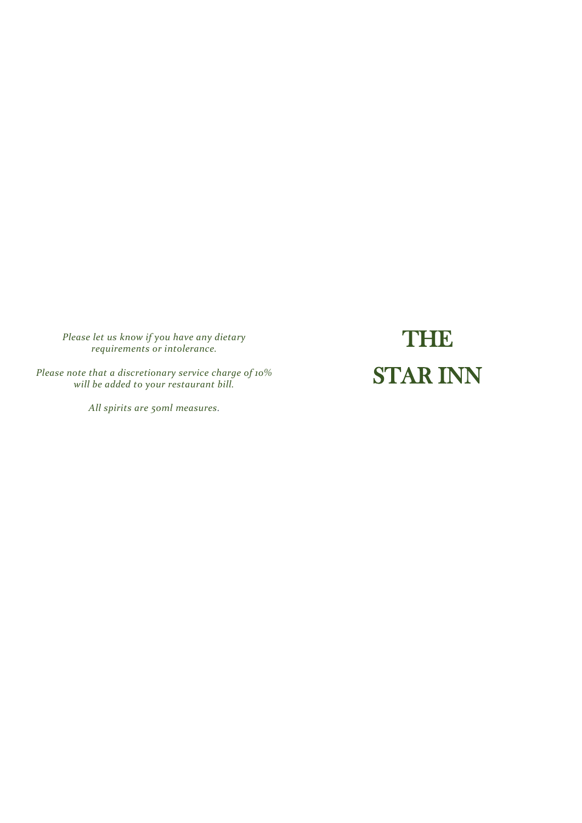*Please let us know if you have any dietary requirements or intolerance.*

*Please note that a discretionary service charge of 10% will be added to your restaurant bill.*

*All spirits are 50ml measures.*

**THE** STAR INN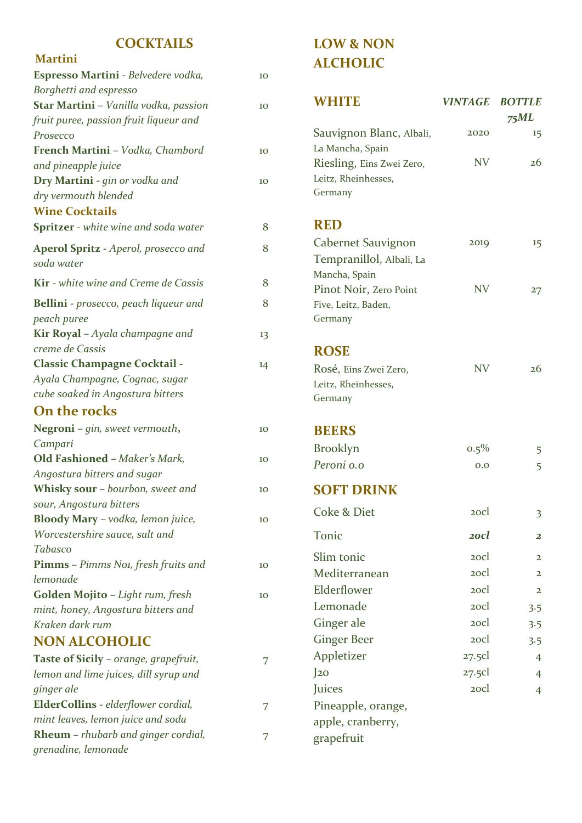#### **COCKTAILS**

#### **Martini**

| Espresso Martini - Belvedere vodka,          | 10 |
|----------------------------------------------|----|
| Borghetti and espresso                       |    |
| Star Martini - Vanilla vodka, passion        | 10 |
| fruit puree, passion fruit liqueur and       |    |
| Prosecco                                     |    |
| French Martini - Vodka, Chambord             | 10 |
| and pineapple juice                          |    |
| Dry Martini - gin or vodka and               | 10 |
| dry vermouth blended                         |    |
| <b>Wine Cocktails</b>                        |    |
| <b>Spritzer</b> - white wine and soda water  | 8  |
| <b>Aperol Spritz - Aperol, prosecco and</b>  | 8  |
| soda water                                   |    |
| <b>Kir</b> - white wine and Creme de Cassis  | 8  |
| <b>Bellini</b> - prosecco, peach liqueur and | 8  |
| peach puree                                  |    |
| Kir Royal - Ayala champagne and              | 13 |
| creme de Cassis                              |    |
| <b>Classic Champagne Cocktail -</b>          | 14 |
| Ayala Champagne, Cognac, sugar               |    |
| cube soaked in Angostura bitters             |    |
| On the rocks                                 |    |
| Negroni - gin, sweet vermouth,               | 10 |
| Campari                                      |    |
| Old Fashioned - Maker's Mark,                | 10 |
| Angostura bitters and sugar                  |    |
| Whisky sour - bourbon, sweet and             | 10 |
| sour, Angostura bitters                      |    |
| Bloody Mary - vodka, lemon juice,            | 10 |
| Worcestershire sauce, salt and               |    |
| Tabasco                                      |    |
| Pimms - Pimms Noi, fresh fruits and          | 10 |
| lemonade                                     |    |
| Golden Mojito - Light rum, fresh             | 10 |
| mint, honey, Angostura bitters and           |    |
| Kraken dark rum                              |    |
| <b>NON ALCOHOLIC</b>                         |    |
| Taste of Sicily - orange, grapefruit,        | 7  |
| lemon and lime juices, dill syrup and        |    |
| ginger ale                                   |    |
| ElderCollins - elderflower cordial,          | 7  |
| mint leaves, lemon juice and soda            |    |
| <b>Rheum</b> - rhubarb and ginger cordial,   | 7  |
| grenadine, lemonade                          |    |

#### **LOW & NON ALCHOLIC**

| WHITE                                                                           | <b>VINTAGE</b> | <b>BOTTLE</b><br>75ML |
|---------------------------------------------------------------------------------|----------------|-----------------------|
| Sauvignon Blanc, Albali,                                                        | 2020           | 15                    |
| La Mancha, Spain<br>Riesling, Eins Zwei Zero,<br>Leitz, Rheinhesses,<br>Germany | <b>NV</b>      | 26                    |
| <b>RED</b>                                                                      |                |                       |
| Cabernet Sauvignon<br>Tempranillol, Albali, La<br>Mancha, Spain                 | 2019           | 15                    |
| Pinot Noir, Zero Point<br>Five, Leitz, Baden,<br>Germany                        | <b>NV</b>      | 27                    |
| <b>ROSE</b>                                                                     |                |                       |
| Rosé, Eins Zwei Zero,<br>Leitz, Rheinhesses,<br>Germany                         | <b>NV</b>      | 26                    |
| <b>BEERS</b>                                                                    |                |                       |
| <b>Brooklyn</b>                                                                 | $0.5\%$        | 5                     |
| Peroni o.o                                                                      | 0.0            | 5                     |
| <b>SOFT DRINK</b>                                                               |                |                       |
| <b>Coke &amp; Diet</b>                                                          | 20cl           | 3                     |
| Tonic                                                                           | 20cl           | 2                     |
| Slim tonic                                                                      | 2ocl           | $\mathbf{2}$          |
| Mediterranean                                                                   | 2ocl           | $\mathbf{2}$          |
| Elderflower                                                                     | 2ocl           | $\mathbf{z}$          |
| Lemonade                                                                        | 2ocl           | 3.5                   |
| Ginger ale                                                                      | 2ocl           | 3.5                   |
| <b>Ginger Beer</b>                                                              | 2ocl           | 3.5                   |
| Appletizer                                                                      | 27.5cl         | $\overline{4}$        |
| $\int$ <sub>20</sub>                                                            | 27.5c          | 4                     |
| Juices                                                                          | 2ocl           | $\overline{4}$        |
| Pineapple, orange,                                                              |                |                       |
| apple, cranberry,                                                               |                |                       |
| grapefruit                                                                      |                |                       |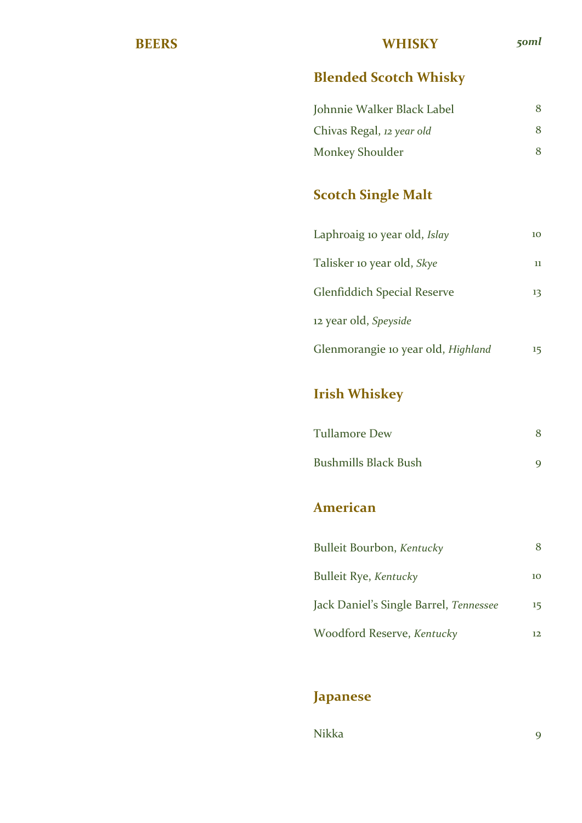#### **BEERS WHISKY** *50ml*

## **Blended Scotch Whisky**

| Johnnie Walker Black Label | 8 |
|----------------------------|---|
| Chivas Regal, 12 year old  | 8 |
| <b>Monkey Shoulder</b>     | 8 |

# **Scotch Single Malt**

| Laphroaig 10 year old, Islay       | 10 |
|------------------------------------|----|
| Talisker 10 year old, <i>Skye</i>  | 11 |
| <b>Glenfiddich Special Reserve</b> | 13 |
| 12 year old, Speyside              |    |
| Glenmorangie 10 year old, Highland | 15 |

# **Irish Whiskey**

| <b>Tullamore Dew</b>        |  |
|-----------------------------|--|
| <b>Bushmills Black Bush</b> |  |

#### **American**

| Bulleit Bourbon, Kentucky              |         |
|----------------------------------------|---------|
| <b>Bulleit Rye, Kentucky</b>           | 10      |
| Jack Daniel's Single Barrel, Tennessee | $15 \,$ |
| Woodford Reserve, Kentucky             | 12      |

### **Japanese**

Nikka 9